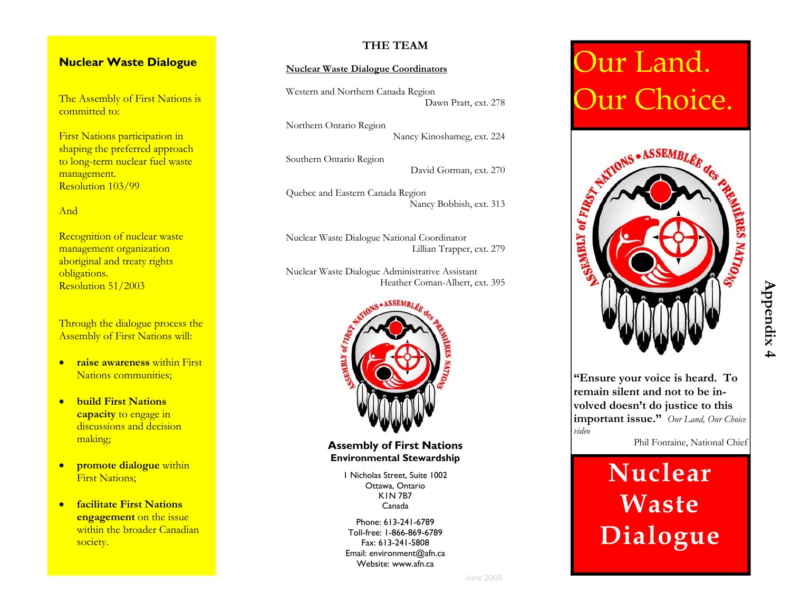# **Nuclear Waste Dialogue**

The Assembly of First Nations is committed to:

First Nations participation in shaping the preferred approach to long-term nuclear fuel waste management. Resolution 103/99

### And

Recognition of nuclear waste management organization aboriginal and treaty rights obligations. Resolution 51/2003

Through the dialogue process the Assembly of First Nations will:

- **raise awareness** within First Nations communities;
- **build First Nationscapacity** to engage in discussions and decision making;
- **promote dialogue** within First Nations;
- **facilitate First Nations engagement** on the issue within the broader Canadian society.

### **THE TEAM**

### **Nuclear Waste Dialogue Coordinators**

Western and Northern Canada Region Dawn Pratt, ext. 278

Northern Ontario Region Nancy Kinoshameg, ext. 224

Southern Ontario Region

David Gorman, ext. 270

Quebec and Eastern Canada Region Nancy Bobbish, ext. 313

Nuclear Waste Dialogue National Coordinator Lillian Trapper, ext. 279

Nuclear Waste Dialogue Administrative Assistant Heather Coman-Albert, ext. 395



**Assembly of First Nations Environmental Stewardship** 

> 1 Nicholas Street, Suite 1002 Ottawa, Ontario K1N 7B7 Canada

Phone: 613-241-6789 Toll-free: 1-866-869-6789 Fax: 613-241-5808 Email: environment@afn.ca Website: www.afn.ca

# Our Land. Our Choice.



**"Ensure your voice is heard. To remain silent and not to be involved doesn't do justice to this important issue."** *Our Land, Our Choice* 

Phil Fontaine, National Chief

# **Nuclear Waste Dialogue**

*video*